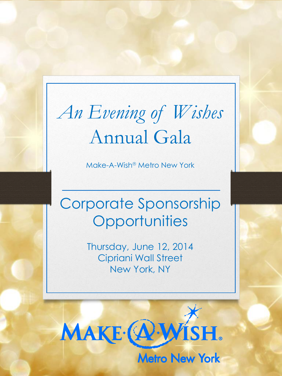# *An Evening of Wishes*  Annual Gala

Make-A-Wish<sup>®</sup> Metro New York

## Corporate Sponsorship **Opportunities**

Thursday, June 12, 2014 Cipriani Wall Street New York, NY

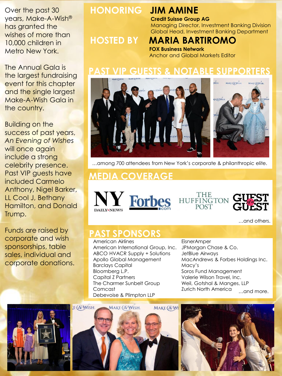Over the past 30 years, Make-A-Wish® has granted the wishes of more than 10,000 children in Metro New York.

The Annual Gala is the largest fundraising event for this chapter and the single largest Make-A-Wish Gala in the country.

Building on the success of past years, *An Evening of Wishes* will once again include a strong celebrity presence. Past VIP guests have included Carmelo Anthony, Nigel Barker, LL Cool J, Bethany Hamilton, and Donald Trump.

Funds are raised by corporate and wish sponsorships, table sales, individual and corporate donations.

#### **HONORING JIM AMINE**

**Credit Suisse Group AG** Managing Director, Investment Banking Division Global Head, Investment Banking Department

### **HOSTED BY MARIA BARTIROMO**

**FOX Business Network** Anchor and Global Markets Editor

#### *PAST AND TABLE SUPPORTERS*



…among 700 attendees from New York's corporate & philanthropic elite.

#### **MEDIA COVERAGE**







…and others.

#### **PAST SPONSORS**

American Airlines American International Group, Inc. ABCO HVACR Supply + Solutions Apollo Global Management Barclays Capital Bloomberg L.P. Capital Z Partners The Charmer Sunbelt Group **Comcast** Debevoise & Plimpton LLP

…and more. **EisnerAmper** JPMorgan Chase & Co. JetBlue Airways MacAndrews & Forbes Holdings Inc. Macy's Soros Fund Management Valerie Wilson Travel, Inc. Weil, Gotshal & Manges, LLP Zurich North America